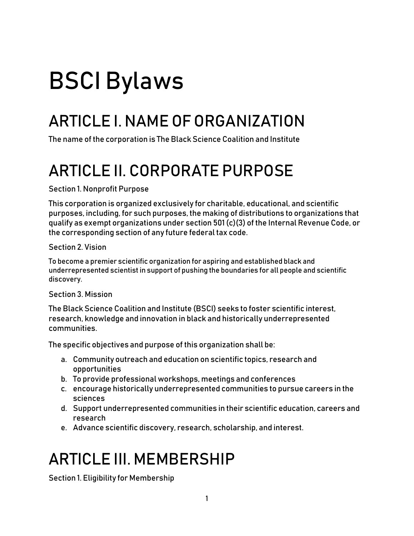# BSCI Bylaws

# ARTICLE I. NAME OF ORGANIZATION

The name of the corporation is The Black Science Coalition and Institute

# ARTICLE II. CORPORATE PURPOSE

Section 1. Nonprofit Purpose

This corporation is organized exclusively for charitable, educational, and scientific purposes, including, for such purposes, the making of distributions to organizations that qualify as exempt organizations under section 501 (c)(3) of the Internal Revenue Code, or the corresponding section of any future federal tax code.

Section 2. Vision

To become a premier scientific organization for aspiring and established black and underrepresented scientist in support of pushing the boundaries for all people and scientific discovery.

#### Section 3. Mission

The Black Science Coalition and Institute (BSCI) seeks to foster scientific interest, research, knowledge and innovation in black and historically underrepresented communities.

The specific objectives and purpose of this organization shall be:

- a. Community outreach and education on scientific topics, research and opportunities
- b. To provide professional workshops, meetings and conferences
- c. encourage historically underrepresented communities to pursue careers in the sciences
- d. Support underrepresented communities in their scientific education, careers and research
- e. Advance scientific discovery, research, scholarship, and interest.

# ARTICLE III. MEMBERSHIP

Section 1. Eligibility for Membership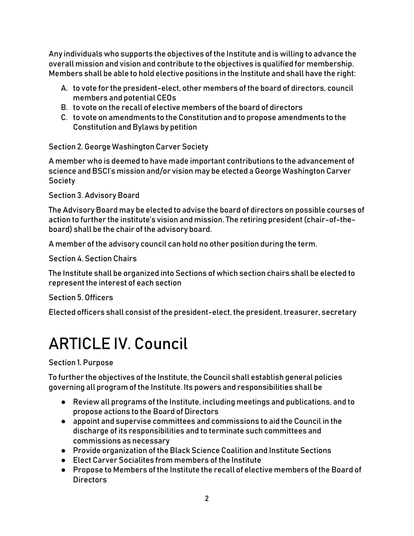Any individuals who supports the objectives of the Institute and is willing to advance the overall mission and vision and contribute to the objectives is qualified for membership. Members shall be able to hold elective positions in the Institute and shall have the right:

- A. to vote for the president-elect, other members of the board of directors, council members and potential CEOs
- B. to vote on the recall of elective members of the board of directors
- C. to vote on amendments to the Constitution and to propose amendments to the Constitution and Bylaws by petition

Section 2. George Washington Carver Society

A member who is deemed to have made important contributions to the advancement of science and BSCI's mission and/or vision may be elected a George Washington Carver Society

Section 3. Advisory Board

The Advisory Board may be elected to advise the board of directors on possible courses of action to further the institute's vision and mission. The retiring president (chair-of-theboard) shall be the chair of the advisory board.

A member of the advisory council can hold no other position during the term.

Section 4. Section Chairs

The Institute shall be organized into Sections of which section chairs shall be elected to represent the interest of each section

Section 5. Officers

Elected officers shall consist of the president-elect, the president, treasurer, secretary

# ARTICLE IV. Council

#### Section 1. Purpose

To further the objectives of the Institute, the Council shall establish general policies governing all program of the Institute. Its powers and responsibilities shall be

- Review all programs of the Institute, including meetings and publications, and to propose actions to the Board of Directors
- appoint and supervise committees and commissions to aid the Council in the discharge of its responsibilities and to terminate such committees and commissions as necessary
- Provide organization of the Black Science Coalition and Institute Sections
- Elect Carver Socialites from members of the Institute
- Propose to Members of the Institute the recall of elective members of the Board of **Directors**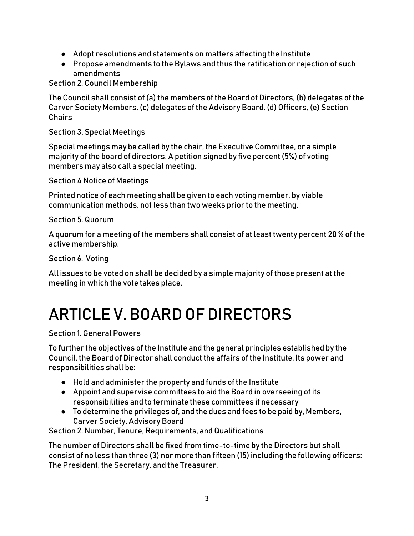- Adopt resolutions and statements on matters affecting the Institute
- Propose amendments to the Bylaws and thus the ratification or rejection of such amendments

Section 2. Council Membership

The Council shall consist of (a) the members of the Board of Directors, (b) delegates of the Carver Society Members, (c) delegates of the Advisory Board, (d) Officers, (e) Section Chairs

Section 3. Special Meetings

Special meetings may be called by the chair, the Executive Committee, or a simple majority of the board of directors. A petition signed by five percent (5%) of voting members may also call a special meeting.

Section 4 Notice of Meetings

Printed notice of each meeting shall be given to each voting member, by viable communication methods, not less than two weeks prior to the meeting.

Section 5. Quorum

A quorum for a meeting of the members shall consist of at least twenty percent 20% of the active membership.

Section 6. Voting

All issues to be voted on shall be decided by a simple majority of those present at the meeting in which the vote takes place.

# ARTICLE V. BOARD OF DIRECTORS

Section 1. General Powers

To further the objectives of the Institute and the general principles established by the Council, the Board of Director shall conduct the affairs of the Institute. Its power and responsibilities shall be:

- Hold and administer the property and funds of the Institute
- Appoint and supervise committees to aid the Board in overseeing of its responsibilities and to terminate these committees if necessary
- To determine the privileges of, and the dues and fees to be paid by, Members, Carver Society, Advisory Board

Section 2. Number, Tenure, Requirements, and Qualifications

The number of Directors shall be fixed from time-to-time by the Directors but shall consist of no less than three (3) nor more than fifteen (15) including the following officers: The President, the Secretary, and the Treasurer.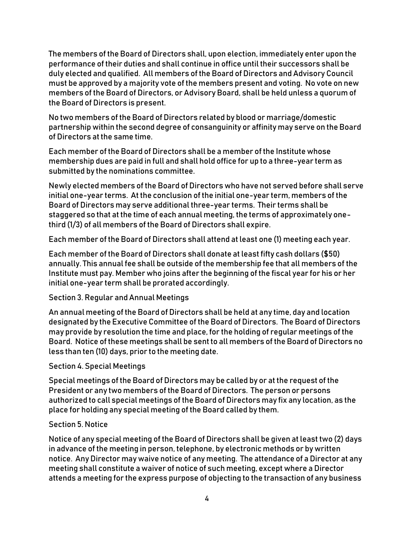The members of the Board of Directors shall, upon election, immediately enter upon the performance of their duties and shall continue in office until their successors shall be duly elected and qualified. All members of the Board of Directors and Advisory Council must be approved by a majority vote of the members present and voting. No vote on new members of the Board of Directors, or Advisory Board, shall be held unless a quorum of the Board of Directors is present.

No two members of the Board of Directors related by blood or marriage/domestic partnership within the second degree of consanguinity or affinity may serve on the Board of Directors at the same time.

Each member of the Board of Directors shall be a member of the Institute whose membership dues are paid in full and shall hold office for up to a three-year term as submitted by the nominations committee.

Newly elected members of the Board of Directors who have not served before shall serve initial one-year terms. At the conclusion of the initial one-year term, members of the Board of Directors may serve additional three-year terms. Their terms shall be staggered so that at the time of each annual meeting, the terms of approximately onethird (1/3) of all members of the Board of Directors shall expire.

Each member of the Board of Directors shall attend at least one (1) meeting each year.

Each member of the Board of Directors shall donate at least fifty cash dollars (\$50) annually. This annual fee shall be outside of the membership fee that all members of the Institute must pay. Member who joins after the beginning of the fiscal year for his or her initial one-year term shall be prorated accordingly.

#### Section 3. Regular and Annual Meetings

An annual meeting of the Board of Directors shall be held at any time, day and location designated by the Executive Committee of the Board of Directors. The Board of Directors may provide by resolution the time and place, for the holding of regular meetings of the Board. Notice of these meetings shall be sent to all members of the Board of Directors no less than ten (10) days, prior to the meeting date.

#### Section 4. Special Meetings

Special meetings of the Board of Directors may be called by or at the request of the President or any two members of the Board of Directors. The person or persons authorized to call special meetings of the Board of Directors may fix any location, as the place for holding any special meeting of the Board called by them.

#### Section 5. Notice

Notice of any special meeting of the Board of Directors shall be given at least two (2) days in advance of the meeting in person, telephone, by electronic methods or by written notice. Any Director may waive notice of any meeting. The attendance of a Director at any meeting shall constitute a waiver of notice of such meeting, except where a Director attends a meeting for the express purpose of objecting to the transaction of any business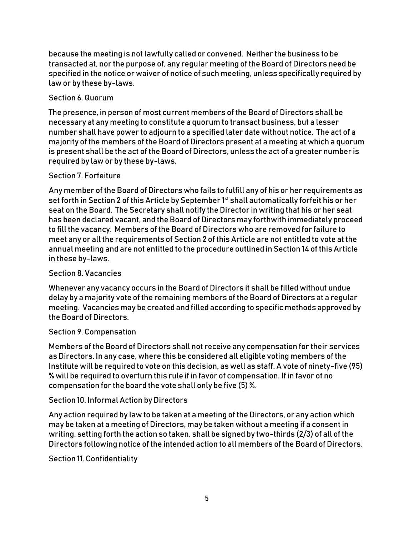because the meeting is not lawfully called or convened. Neither the business to be transacted at, nor the purpose of, any regular meeting of the Board of Directors need be specified in the notice or waiver of notice of such meeting, unless specifically required by law or by these by-laws.

#### Section 6. Quorum

The presence, in person of most current members of the Board of Directors shall be necessary at any meeting to constitute a quorum to transact business, but a lesser number shall have power to adjourn to a specified later date without notice. The act of a majority of the members of the Board of Directors present at a meeting at which a quorum is present shall be the act of the Board of Directors, unless the act of a greater number is required by law or by these by-laws.

#### Section 7. Forfeiture

Any member of the Board of Directors who fails to fulfill any of his or her requirements as set forth in Section 2 of this Article by September 1<sup>st</sup> shall automatically forfeit his or her seat on the Board. The Secretary shall notify the Director in writing that his or her seat has been declared vacant, and the Board of Directors may forthwith immediately proceed to fill the vacancy. Members of the Board of Directors who are removed for failure to meet any or all the requirements of Section 2 of this Article are not entitled to vote at the annual meeting and are not entitled to the procedure outlined in Section 14 of this Article in these by-laws.

#### Section 8. Vacancies

Whenever any vacancy occurs in the Board of Directors it shall be filled without undue delay by a majority vote of the remaining members of the Board of Directors at a regular meeting. Vacancies may be created and filled according to specific methods approved by the Board of Directors.

#### Section 9. Compensation

Members of the Board of Directors shall not receive any compensation for their services as Directors. In any case, where this be considered all eligible voting members of the Institute will be required to vote on this decision, as well as staff. A vote of ninety-five (95) % will be required to overturn this rule if in favor of compensation. If in favor of no compensation for the board the vote shall only be five (5) %.

#### Section 10. Informal Action by Directors

Any action required by law to be taken at a meeting of the Directors, or any action which may be taken at a meeting of Directors, may be taken without a meeting if a consent in writing, setting forth the action so taken, shall be signed by two-thirds (2/3) of all of the Directors following notice of the intended action to all members of the Board of Directors.

#### Section 11. Confidentiality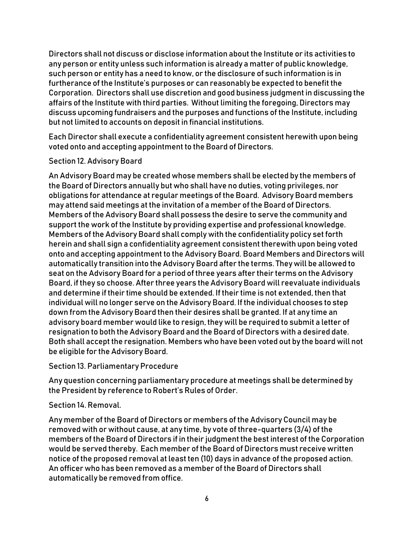Directors shall not discuss or disclose information about the Institute or its activities to any person or entity unless such information is already a matter of public knowledge, such person or entity has a need to know, or the disclosure of such information is in furtherance of the Institute's purposes or can reasonably be expected to benefit the Corporation. Directors shall use discretion and good business judgment in discussing the affairs of the Institute with third parties. Without limiting the foregoing, Directors may discuss upcoming fundraisers and the purposes and functions of the Institute, including but not limited to accounts on deposit in financial institutions.

Each Director shall execute a confidentiality agreement consistent herewith upon being voted onto and accepting appointment to the Board of Directors.

#### Section 12. Advisory Board

An Advisory Board may be created whose members shall be elected by the members of the Board of Directors annually but who shall have no duties, voting privileges, nor obligations for attendance at regular meetings of the Board. Advisory Board members may attend said meetings at the invitation of a member of the Board of Directors. Members of the Advisory Board shall possess the desire to serve the community and support the work of the Institute by providing expertise and professional knowledge. Members of the Advisory Board shall comply with the confidentiality policy set forth herein and shall sign a confidentiality agreement consistent therewith upon being voted onto and accepting appointment to the Advisory Board. Board Members and Directors will automatically transition into the Advisory Board after the terms. They will be allowed to seat on the Advisory Board for a period of three years after their terms on the Advisory Board, if they so choose. After three years the Advisory Board will reevaluate individuals and determine if their time should be extended. If their time is not extended, then that individual will no longer serve on the Advisory Board. If the individual chooses to step down from the Advisory Board then their desires shall be granted. If at any time an advisory board member would like to resign, they will be required to submit a letter of resignation to both the Advisory Board and the Board of Directors with a desired date. Both shall accept the resignation. Members who have been voted out by the board will not be eligible for the Advisory Board.

Section 13. Parliamentary Procedure

Any question concerning parliamentary procedure at meetings shall be determined by the President by reference to Robert's Rules of Order.

#### Section 14. Removal.

Any member of the Board of Directors or members of the Advisory Council may be removed with or without cause, at any time, by vote of three-quarters (3/4) of the members of the Board of Directors if in their judgment the best interest of the Corporation would be served thereby. Each member of the Board of Directors must receive written notice of the proposed removal at least ten (10) days in advance of the proposed action. An officer who has been removed as a member of the Board of Directors shall automatically be removed from office.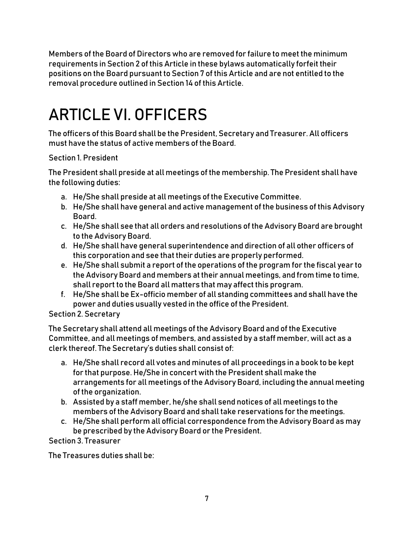Members of the Board of Directors who are removed for failure to meet the minimum requirements in Section 2 of this Article in these bylaws automatically forfeit their positions on the Board pursuant to Section 7 of this Article and are not entitled to the removal procedure outlined in Section 14 of this Article.

### ARTICLE VI. OFFICERS

The officers of this Board shall be the President, Secretary and Treasurer. All officers must have the status of active members of the Board.

#### Section 1. President

The President shall preside at all meetings of the membership. The President shall have the following duties:

- a. He/She shall preside at all meetings of the Executive Committee.
- b. He/She shall have general and active management of the business of this Advisory Board.
- c. He/She shall see that all orders and resolutions of the Advisory Board are brought to the Advisory Board.
- d. He/She shall have general superintendence and direction of all other officers of this corporation and see that their duties are properly performed.
- e. He/She shall submit a report of the operations of the program for the fiscal year to the Advisory Board and members at their annual meetings, and from time to time, shall report to the Board all matters that may affect this program.
- f. He/She shall be Ex-officio member of all standing committees and shall have the power and duties usually vested in the office of the President.

#### Section 2. Secretary

The Secretary shall attend all meetings of the Advisory Board and of the Executive Committee, and all meetings of members, and assisted by a staff member, will act as a clerk thereof. The Secretary's duties shall consist of:

- a. He/She shall record all votes and minutes of all proceedings in a book to be kept for that purpose. He/She in concert with the President shall make the arrangements for all meetings of the Advisory Board, including the annual meeting of the organization.
- b. Assisted by a staff member, he/she shall send notices of all meetings to the members of the Advisory Board and shall take reservations for the meetings.
- c. He/She shall perform all official correspondence from the Advisory Board as may be prescribed by the Advisory Board or the President.

Section 3. Treasurer

The Treasures duties shall be: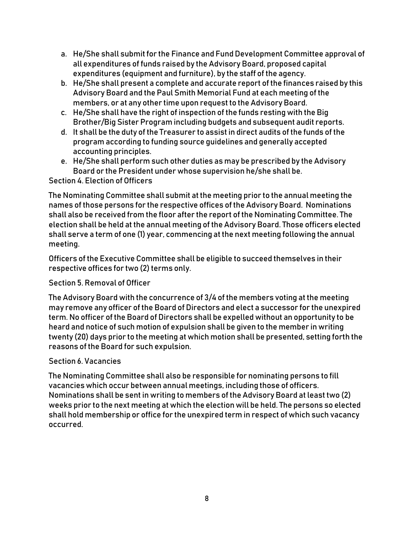- a. He/She shall submit for the Finance and Fund Development Committee approval of all expenditures of funds raised by the Advisory Board, proposed capital expenditures (equipment and furniture), by the staff of the agency.
- b. He/She shall present a complete and accurate report of the finances raised by this Advisory Board and the Paul Smith Memorial Fund at each meeting of the members, or at any other time upon request to the Advisory Board.
- c. He/She shall have the right of inspection of the funds resting with the Big Brother/Big Sister Program including budgets and subsequent audit reports.
- d. It shall be the duty of the Treasurer to assist in direct audits of the funds of the program according to funding source guidelines and generally accepted accounting principles.
- e. He/She shall perform such other duties as may be prescribed by the Advisory Board or the President under whose supervision he/she shall be.

Section 4. Election of Officers

The Nominating Committee shall submit at the meeting prior to the annual meeting the names of those persons for the respective offices of the Advisory Board. Nominations shall also be received from the floor after the report of the Nominating Committee. The election shall be held at the annual meeting of the Advisory Board. Those officers elected shall serve a term of one (1) year, commencing at the next meeting following the annual meeting.

Officers of the Executive Committee shall be eligible to succeed themselves in their respective offices for two (2) terms only.

#### Section 5. Removal of Officer

The Advisory Board with the concurrence of 3/4 of the members voting at the meeting may remove any officer of the Board of Directors and elect a successor for the unexpired term. No officer of the Board of Directors shall be expelled without an opportunity to be heard and notice of such motion of expulsion shall be given to the member in writing twenty (20) days prior to the meeting at which motion shall be presented, setting forth the reasons of the Board for such expulsion.

#### Section 6. Vacancies

The Nominating Committee shall also be responsible for nominating persons to fill vacancies which occur between annual meetings, including those of officers. Nominations shall be sent in writing to members of the Advisory Board at least two (2) weeks prior to the next meeting at which the election will be held. The persons so elected shall hold membership or office for the unexpired term in respect of which such vacancy occurred.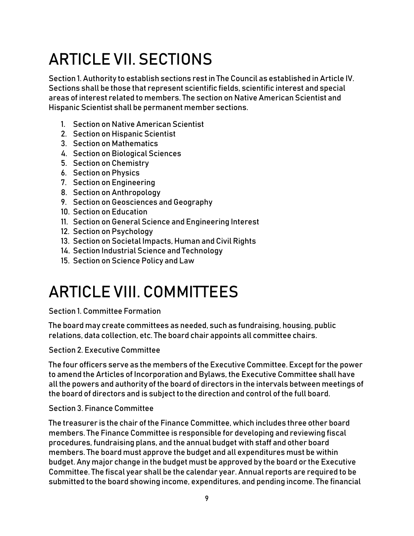# ARTICLE VII. SECTIONS

Section 1. Authority to establish sections rest in The Council as established in Article IV. Sections shall be those that represent scientific fields, scientific interest and special areas of interest related to members. The section on Native American Scientist and Hispanic Scientist shall be permanent member sections.

- 1. Section on Native American Scientist
- 2. Section on Hispanic Scientist
- 3. Section on Mathematics
- 4. Section on Biological Sciences
- 5. Section on Chemistry
- 6. Section on Physics
- 7. Section on Engineering
- 8. Section on Anthropology
- 9. Section on Geosciences and Geography
- 10. Section on Education
- 11. Section on General Science and Engineering Interest
- 12. Section on Psychology
- 13. Section on Societal Impacts, Human and Civil Rights
- 14. Section Industrial Science and Technology
- 15. Section on Science Policy and Law

# ARTICLE VIII. COMMITTEES

#### Section 1. Committee Formation

The board may create committees as needed, such as fundraising, housing, public relations, data collection, etc. The board chair appoints all committee chairs.

Section 2. Executive Committee

The four officers serve as the members of the Executive Committee. Except for the power to amend the Articles of Incorporation and Bylaws, the Executive Committee shall have all the powers and authority of the board of directors in the intervals between meetings of the board of directors and is subject to the direction and control of the full board.

#### Section 3. Finance Committee

The treasurer is the chair of the Finance Committee, which includes three other board members. The Finance Committee is responsible for developing and reviewing fiscal procedures, fundraising plans, and the annual budget with staff and other board members. The board must approve the budget and all expenditures must be within budget. Any major change in the budget must be approved by the board or the Executive Committee. The fiscal year shall be the calendar year. Annual reports are required to be submitted to the board showing income, expenditures, and pending income. The financial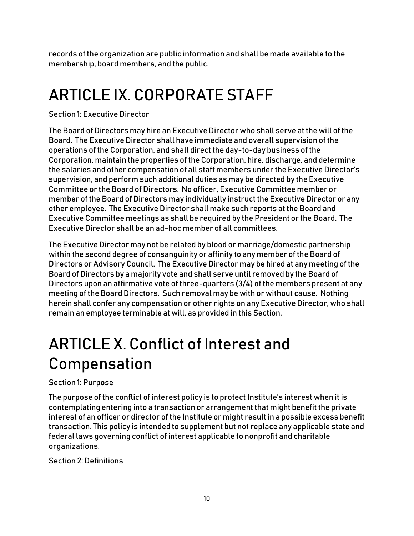records of the organization are public information and shall be made available to the membership, board members, and the public.

# ARTICLE IX. CORPORATE STAFF

Section 1: Executive Director

The Board of Directors may hire an Executive Director who shall serve at the will of the Board. The Executive Director shall have immediate and overall supervision of the operations of the Corporation, and shall direct the day-to-day business of the Corporation, maintain the properties of the Corporation, hire, discharge, and determine the salaries and other compensation of all staff members under the Executive Director's supervision, and perform such additional duties as may be directed by the Executive Committee or the Board of Directors. No officer, Executive Committee member or member of the Board of Directors may individually instruct the Executive Director or any other employee. The Executive Director shall make such reports at the Board and Executive Committee meetings as shall be required by the President or the Board. The Executive Director shall be an ad-hoc member of all committees.

The Executive Director may not be related by blood or marriage/domestic partnership within the second degree of consanguinity or affinity to any member of the Board of Directors or Advisory Council. The Executive Director may be hired at any meeting of the Board of Directors by a majority vote and shall serve until removed by the Board of Directors upon an affirmative vote of three-quarters (3/4) of the members present at any meeting of the Board Directors. Such removal may be with or without cause. Nothing herein shall confer any compensation or other rights on any Executive Director, who shall remain an employee terminable at will, as provided in this Section.

### ARTICLE X. Conflict of Interest and Compensation

#### Section 1: Purpose

The purpose of the conflict of interest policy is to protect Institute's interest when it is contemplating entering into a transaction or arrangement that might benefit the private interest of an officer or director of the Institute or might result in a possible excess benefit transaction. This policy is intended to supplement but not replace any applicable state and federal laws governing conflict of interest applicable to nonprofit and charitable organizations.

#### Section 2: Definitions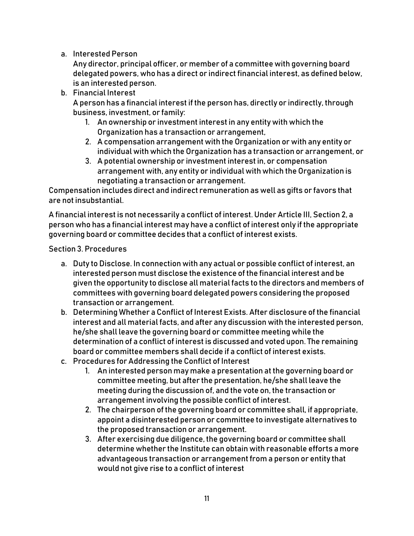a. Interested Person

Any director, principal officer, or member of a committee with governing board delegated powers, who has a direct or indirect financial interest, as defined below, is an interested person.

b. Financial Interest

A person has a financial interest if the person has, directly or indirectly, through business, investment, or family:

- 1. An ownership or investment interest in any entity with which the Organization has a transaction or arrangement,
- 2. A compensation arrangement with the Organization or with any entity or individual with which the Organization has a transaction or arrangement, or
- 3. A potential ownership or investment interest in, or compensation arrangement with, any entity or individual with which the Organization is negotiating a transaction or arrangement.

Compensation includes direct and indirect remuneration as well as gifts or favors that are not insubstantial.

A financial interest is not necessarily a conflict of interest. Under Article III, Section 2, a person who has a financial interest may have a conflict of interest only if the appropriate governing board or committee decides that a conflict of interest exists.

#### Section 3. Procedures

- a. Duty to Disclose. In connection with any actual or possible conflict of interest, an interested person must disclose the existence of the financial interest and be given the opportunity to disclose all material facts to the directors and members of committees with governing board delegated powers considering the proposed transaction or arrangement.
- b. Determining Whether a Conflict of Interest Exists. After disclosure of the financial interest and all material facts, and after any discussion with the interested person, he/she shall leave the governing board or committee meeting while the determination of a conflict of interest is discussed and voted upon. The remaining board or committee members shall decide if a conflict of interest exists.
- c. Procedures for Addressing the Conflict of Interest
	- 1. An interested person may make a presentation at the governing board or committee meeting, but after the presentation, he/she shall leave the meeting during the discussion of, and the vote on, the transaction or arrangement involving the possible conflict of interest.
	- 2. The chairperson of the governing board or committee shall, if appropriate, appoint a disinterested person or committee to investigate alternatives to the proposed transaction or arrangement.
	- 3. After exercising due diligence, the governing board or committee shall determine whether the Institute can obtain with reasonable efforts a more advantageous transaction or arrangement from a person or entity that would not give rise to a conflict of interest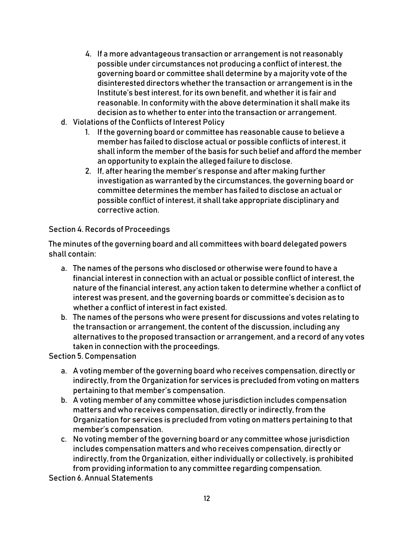- 4. If a more advantageous transaction or arrangement is not reasonably possible under circumstances not producing a conflict of interest, the governing board or committee shall determine by a majority vote of the disinterested directors whether the transaction or arrangement is in the Institute's best interest, for its own benefit, and whether it is fair and reasonable. In conformity with the above determination it shall make its decision as to whether to enter into the transaction or arrangement.
- d. Violations of the Conflicts of Interest Policy
	- 1. If the governing board or committee has reasonable cause to believe a member has failed to disclose actual or possible conflicts of interest, it shall inform the member of the basis for such belief and afford the member an opportunity to explain the alleged failure to disclose.
	- 2. If, after hearing the member's response and after making further investigation as warranted by the circumstances, the governing board or committee determines the member has failed to disclose an actual or possible conflict of interest, it shall take appropriate disciplinary and corrective action.

#### Section 4. Records of Proceedings

The minutes of the governing board and all committees with board delegated powers shall contain:

- a. The names of the persons who disclosed or otherwise were found to have a financial interest in connection with an actual or possible conflict of interest, the nature of the financial interest, any action taken to determine whether a conflict of interest was present, and the governing boards or committee's decision as to whether a conflict of interest in fact existed.
- b. The names of the persons who were present for discussions and votes relating to the transaction or arrangement, the content of the discussion, including any alternatives to the proposed transaction or arrangement, and a record of any votes taken in connection with the proceedings.

Section 5. Compensation

- a. A voting member of the governing board who receives compensation, directly or indirectly, from the Organization for services is precluded from voting on matters pertaining to that member's compensation.
- b. A voting member of any committee whose jurisdiction includes compensation matters and who receives compensation, directly or indirectly, from the Organization for services is precluded from voting on matters pertaining to that member's compensation.
- c. No voting member of the governing board or any committee whose jurisdiction includes compensation matters and who receives compensation, directly or indirectly, from the Organization, either individually or collectively, is prohibited from providing information to any committee regarding compensation.

Section 6. Annual Statements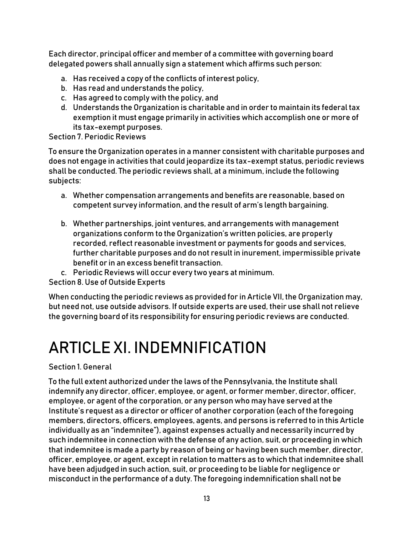Each director, principal officer and member of a committee with governing board delegated powers shall annually sign a statement which affirms such person:

- a. Has received a copy of the conflicts of interest policy,
- b. Has read and understands the policy,
- c. Has agreed to comply with the policy, and
- d. Understands the Organization is charitable and in order to maintain its federal tax exemption it must engage primarily in activities which accomplish one or more of its tax-exempt purposes.

Section 7. Periodic Reviews

To ensure the Organization operates in a manner consistent with charitable purposes and does not engage in activities that could jeopardize its tax-exempt status, periodic reviews shall be conducted. The periodic reviews shall, at a minimum, include the following subjects:

- a. Whether compensation arrangements and benefits are reasonable, based on competent survey information, and the result of arm's length bargaining.
- b. Whether partnerships, joint ventures, and arrangements with management organizations conform to the Organization's written policies, are properly recorded, reflect reasonable investment or payments for goods and services, further charitable purposes and do not result in inurement, impermissible private benefit or in an excess benefit transaction.
- c. Periodic Reviews will occur every two years at minimum.

Section 8. Use of Outside Experts

When conducting the periodic reviews as provided for in Article VII, the Organization may, but need not, use outside advisors. If outside experts are used, their use shall not relieve the governing board of its responsibility for ensuring periodic reviews are conducted.

### ARTICLE XI. INDEMNIFICATION

#### Section 1. General

To the full extent authorized under the laws of the Pennsylvania, the Institute shall indemnify any director, officer, employee, or agent, or former member, director, officer, employee, or agent of the corporation, or any person who may have served at the Institute's request as a director or officer of another corporation (each of the foregoing members, directors, officers, employees, agents, and persons is referred to in this Article individually as an "indemnitee"), against expenses actually and necessarily incurred by such indemnitee in connection with the defense of any action, suit, or proceeding in which that indemnitee is made a party by reason of being or having been such member, director, officer, employee, or agent, except in relation to matters as to which that indemnitee shall have been adjudged in such action, suit, or proceeding to be liable for negligence or misconduct in the performance of a duty. The foregoing indemnification shall not be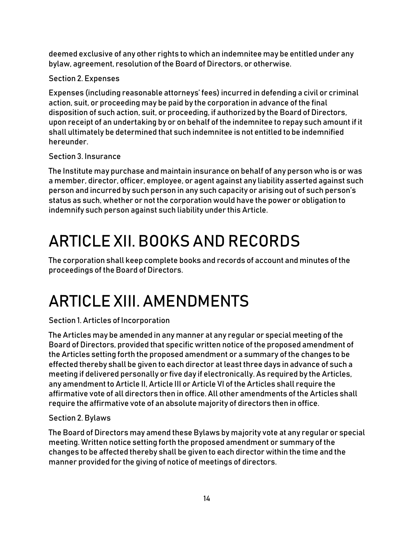deemed exclusive of any other rights to which an indemnitee may be entitled under any bylaw, agreement, resolution of the Board of Directors, or otherwise.

#### Section 2. Expenses

Expenses (including reasonable attorneys' fees) incurred in defending a civil or criminal action, suit, or proceeding may be paid by the corporation in advance of the final disposition of such action, suit, or proceeding, if authorized by the Board of Directors, upon receipt of an undertaking by or on behalf of the indemnitee to repay such amount if it shall ultimately be determined that such indemnitee is not entitled to be indemnified hereunder.

#### Section 3. Insurance

The Institute may purchase and maintain insurance on behalf of any person who is or was a member, director, officer, employee, or agent against any liability asserted against such person and incurred by such person in any such capacity or arising out of such person's status as such, whether or not the corporation would have the power or obligation to indemnify such person against such liability under this Article.

# ARTICLE XII. BOOKS AND RECORDS

The corporation shall keep complete books and records of account and minutes of the proceedings of the Board of Directors.

# ARTICLE XIII. AMENDMENTS

#### Section 1. Articles of Incorporation

The Articles may be amended in any manner at any regular or special meeting of the Board of Directors, provided that specific written notice of the proposed amendment of the Articles setting forth the proposed amendment or a summary of the changes to be effected thereby shall be given to each director at least three days in advance of such a meeting if delivered personally or five day if electronically. As required by the Articles, any amendment to Article II, Article III or Article VI of the Articles shall require the affirmative vote of all directors then in office. All other amendments of the Articles shall require the affirmative vote of an absolute majority of directors then in office.

#### Section 2. Bylaws

The Board of Directors may amend these Bylaws by majority vote at any regular or special meeting. Written notice setting forth the proposed amendment or summary of the changes to be affected thereby shall be given to each director within the time and the manner provided for the giving of notice of meetings of directors.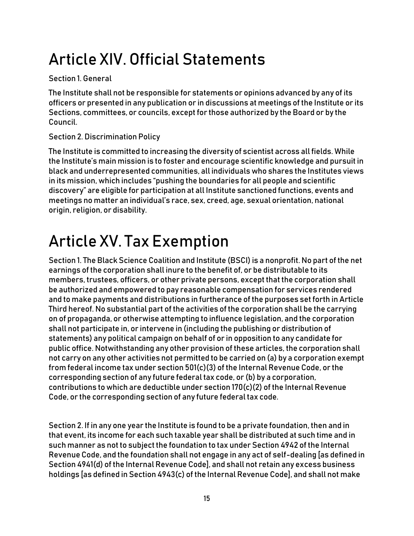# Article XIV. Official Statements

#### Section 1. General

The Institute shall not be responsible for statements or opinions advanced by any of its officers or presented in any publication or in discussions at meetings of the Institute or its Sections, committees, or councils, except for those authorized by the Board or by the Council.

#### Section 2. Discrimination Policy

The Institute is committed to increasing the diversity of scientist across all fields. While the Institute's main mission is to foster and encourage scientific knowledge and pursuit in black and underrepresented communities, all individuals who shares the Institutes views in its mission, which includes "pushing the boundaries for all people and scientific discovery" are eligible for participation at all Institute sanctioned functions, events and meetings no matter an individual's race, sex, creed, age, sexual orientation, national origin, religion, or disability.

### Article XV. Tax Exemption

Section 1. The Black Science Coalition and Institute (BSCI) is a nonprofit. No part of the net earnings of the corporation shall inure to the benefit of, or be distributable to its members, trustees, officers, or other private persons, except that the corporation shall be authorized and empowered to pay reasonable compensation for services rendered and to make payments and distributions in furtherance of the purposes set forth in Article Third hereof. No substantial part of the activities of the corporation shall be the carrying on of propaganda, or otherwise attempting to influence legislation, and the corporation shall not participate in, or intervene in (including the publishing or distribution of statements) any political campaign on behalf of or in opposition to any candidate for public office. Notwithstanding any other provision of these articles, the corporation shall not carry on any other activities not permitted to be carried on (a) by a corporation exempt from federal income tax under section 501(c)(3) of the Internal Revenue Code, or the corresponding section of any future federal tax code, or (b) by a corporation, contributions to which are deductible under section 170(c)(2) of the Internal Revenue Code, or the corresponding section of any future federal tax code.

Section 2. If in any one year the Institute is found to be a private foundation, then and in that event, its income for each such taxable year shall be distributed at such time and in such manner as not to subject the foundation to tax under Section 4942 of the Internal Revenue Code, and the foundation shall not engage in any act of self-dealing [as defined in Section 4941(d) of the Internal Revenue Code], and shall not retain any excess business holdings [as defined in Section 4943(c) of the Internal Revenue Code], and shall not make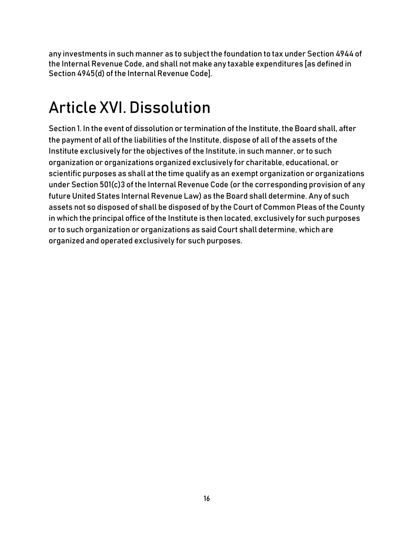any investments in such manner as to subject the foundation to tax under Section 4944 of the Internal Revenue Code, and shall not make any taxable expenditures [as defined in Section 4945(d) of the Internal Revenue Code].

### Article XVI. Dissolution

Section 1. In the event of dissolution or termination of the Institute, the Board shall, after the payment of all of the liabilities of the Institute, dispose of all of the assets of the Institute exclusively for the objectives of the Institute, in such manner, or to such organization or organizations organized exclusively for charitable, educational, or scientific purposes as shall at the time qualify as an exempt organization or organizations under Section 501(c)3 of the Internal Revenue Code (or the corresponding provision of any future United States Internal Revenue Law) as the Board shall determine. Any of such assets not so disposed of shall be disposed of by the Court of Common Pleas of the County in which the principal office of the Institute is then located, exclusively for such purposes or to such organization or organizations as said Court shall determine, which are organized and operated exclusively for such purposes.